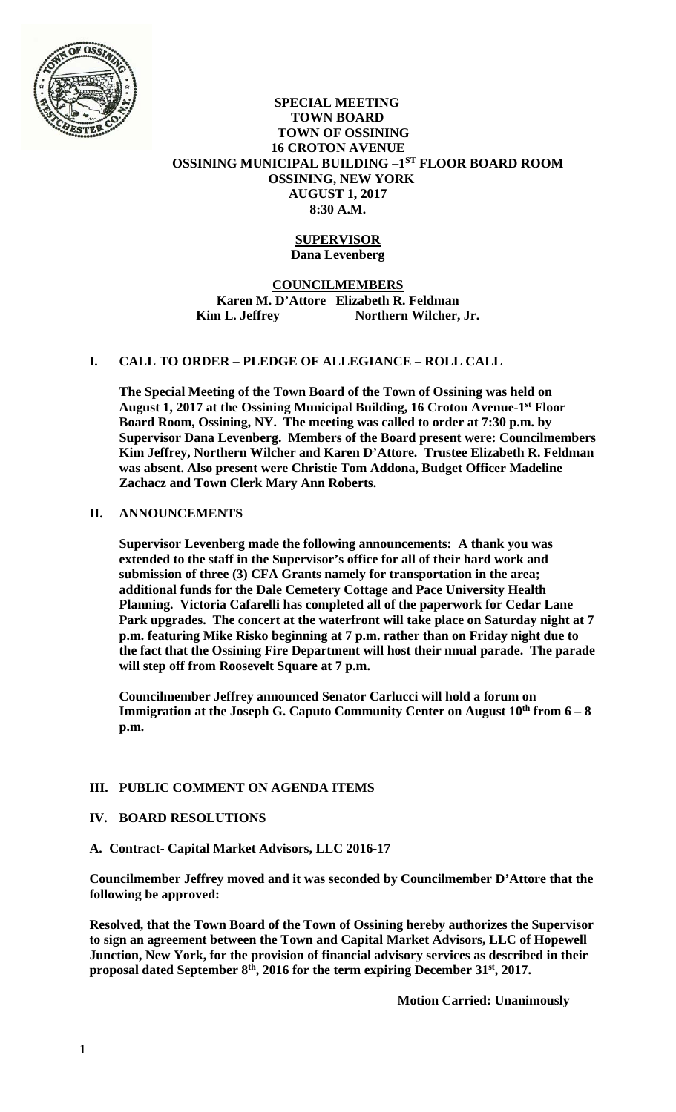

#### **SPECIAL MEETING TOWN BOARD TOWN OF OSSINING 16 CROTON AVENUE OSSINING MUNICIPAL BUILDING –1ST FLOOR BOARD ROOM OSSINING, NEW YORK AUGUST 1, 2017 8:30 A.M.**

#### **SUPERVISOR Dana Levenberg**

## **COUNCILMEMBERS Karen M. D'Attore Elizabeth R. Feldman**  Kim L. Jeffrey Northern Wilcher, Jr.

## **I. CALL TO ORDER – PLEDGE OF ALLEGIANCE – ROLL CALL**

**The Special Meeting of the Town Board of the Town of Ossining was held on August 1, 2017 at the Ossining Municipal Building, 16 Croton Avenue-1st Floor Board Room, Ossining, NY. The meeting was called to order at 7:30 p.m. by Supervisor Dana Levenberg. Members of the Board present were: Councilmembers Kim Jeffrey, Northern Wilcher and Karen D'Attore. Trustee Elizabeth R. Feldman was absent. Also present were Christie Tom Addona, Budget Officer Madeline Zachacz and Town Clerk Mary Ann Roberts.** 

## **II. ANNOUNCEMENTS**

**Supervisor Levenberg made the following announcements: A thank you was extended to the staff in the Supervisor's office for all of their hard work and submission of three (3) CFA Grants namely for transportation in the area; additional funds for the Dale Cemetery Cottage and Pace University Health Planning. Victoria Cafarelli has completed all of the paperwork for Cedar Lane Park upgrades. The concert at the waterfront will take place on Saturday night at 7 p.m. featuring Mike Risko beginning at 7 p.m. rather than on Friday night due to the fact that the Ossining Fire Department will host their nnual parade. The parade will step off from Roosevelt Square at 7 p.m.** 

**Councilmember Jeffrey announced Senator Carlucci will hold a forum on**  Immigration at the Joseph G. Caputo Community Center on August 10<sup>th</sup> from 6 - 8 **p.m.** 

# **III. PUBLIC COMMENT ON AGENDA ITEMS**

## **IV. BOARD RESOLUTIONS**

#### **A. Contract- Capital Market Advisors, LLC 2016-17**

**Councilmember Jeffrey moved and it was seconded by Councilmember D'Attore that the following be approved:** 

**Resolved, that the Town Board of the Town of Ossining hereby authorizes the Supervisor to sign an agreement between the Town and Capital Market Advisors, LLC of Hopewell Junction, New York, for the provision of financial advisory services as described in their proposal dated September 8th, 2016 for the term expiring December 31st, 2017.** 

 **Motion Carried: Unanimously**